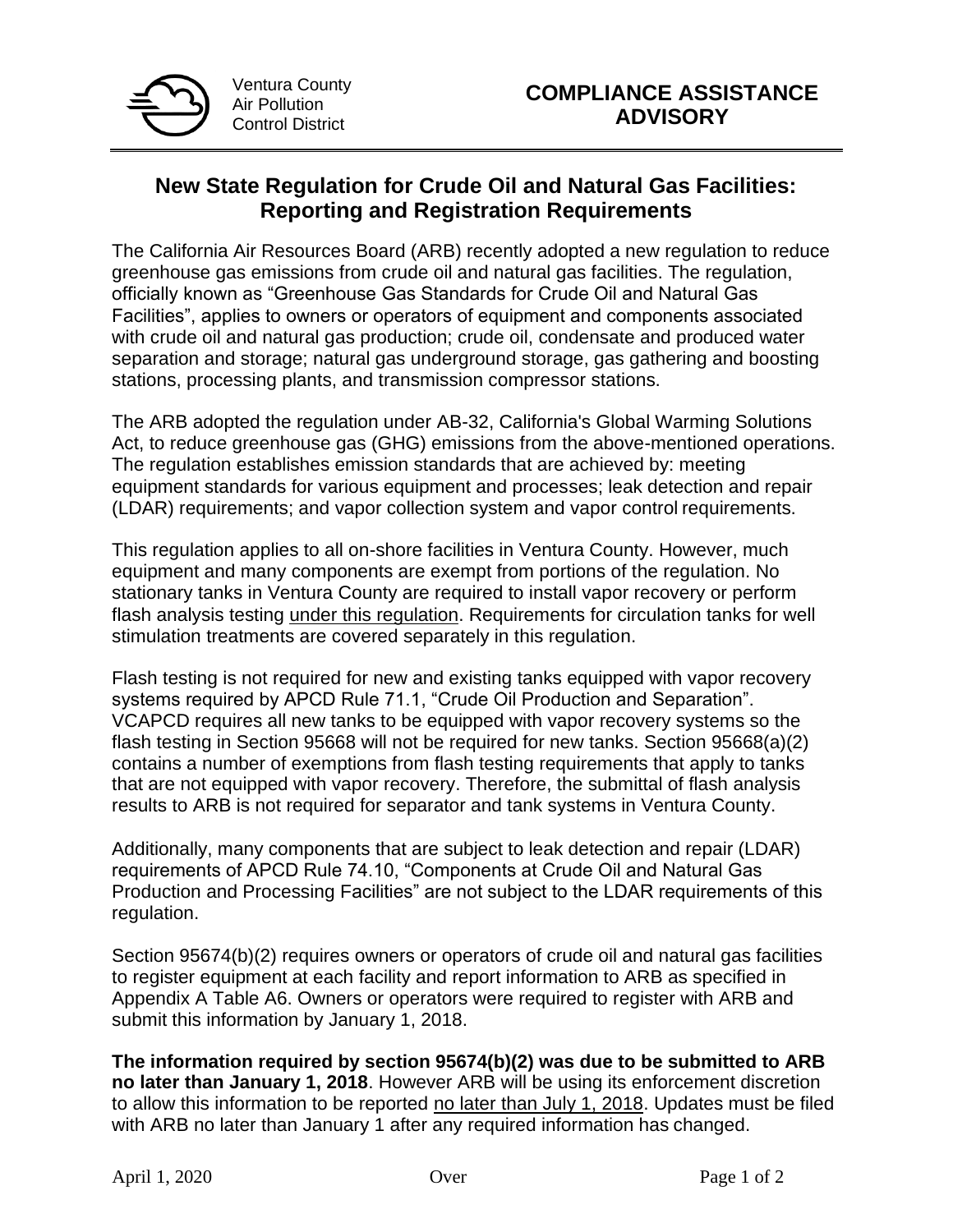

## **New State Regulation for Crude Oil and Natural Gas Facilities: Reporting and Registration Requirements**

The California Air Resources Board (ARB) recently adopted a new regulation to reduce greenhouse gas emissions from crude oil and natural gas facilities. The regulation, officially known as "Greenhouse Gas Standards for Crude Oil and Natural Gas Facilities", applies to owners or operators of equipment and components associated with crude oil and natural gas production; crude oil, condensate and produced water separation and storage; natural gas underground storage, gas gathering and boosting stations, processing plants, and transmission compressor stations.

The ARB adopted the regulation under AB-32, California's Global Warming Solutions Act, to reduce greenhouse gas (GHG) emissions from the above-mentioned operations. The regulation establishes emission standards that are achieved by: meeting equipment standards for various equipment and processes; leak detection and repair (LDAR) requirements; and vapor collection system and vapor control requirements.

This regulation applies to all on-shore facilities in Ventura County. However, much equipment and many components are exempt from portions of the regulation. No stationary tanks in Ventura County are required to install vapor recovery or perform flash analysis testing under this regulation. Requirements for circulation tanks for well stimulation treatments are covered separately in this regulation.

Flash testing is not required for new and existing tanks equipped with vapor recovery systems required by APCD Rule 71.1, "Crude Oil Production and Separation". VCAPCD requires all new tanks to be equipped with vapor recovery systems so the flash testing in Section 95668 will not be required for new tanks. Section 95668(a)(2) contains a number of exemptions from flash testing requirements that apply to tanks that are not equipped with vapor recovery. Therefore, the submittal of flash analysis results to ARB is not required for separator and tank systems in Ventura County.

Additionally, many components that are subject to leak detection and repair (LDAR) requirements of APCD Rule 74.10, "Components at Crude Oil and Natural Gas Production and Processing Facilities" are not subject to the LDAR requirements of this regulation.

Section 95674(b)(2) requires owners or operators of crude oil and natural gas facilities to register equipment at each facility and report information to ARB as specified in Appendix A Table A6. Owners or operators were required to register with ARB and submit this information by January 1, 2018.

**The information required by section 95674(b)(2) was due to be submitted to ARB no later than January 1, 2018**. However ARB will be using its enforcement discretion to allow this information to be reported no later than July 1, 2018. Updates must be filed with ARB no later than January 1 after any required information has changed.